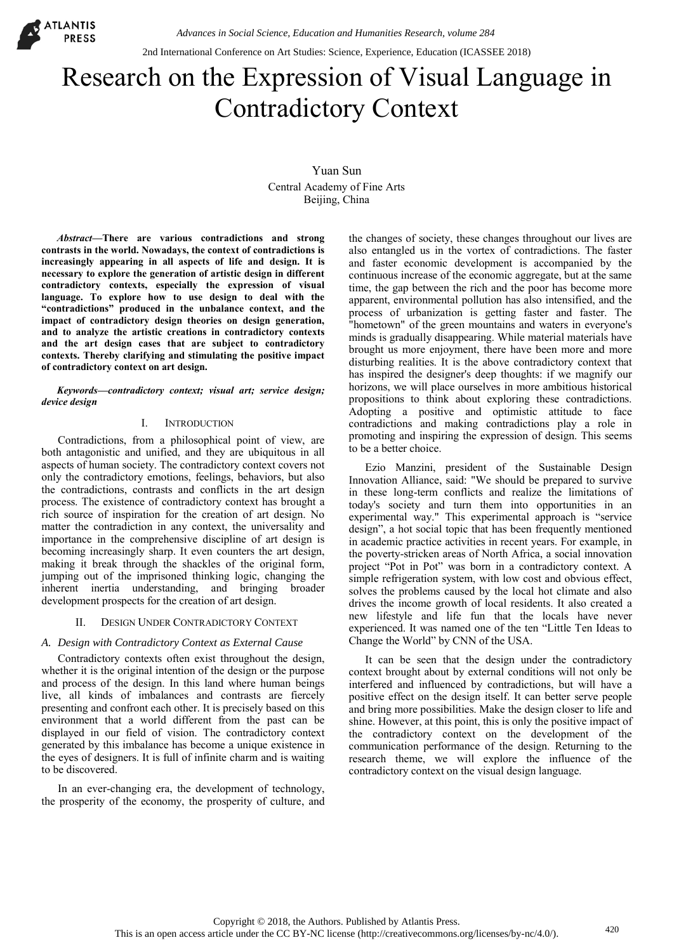2nd International Conference on Art Studies: Science, Experience, Education (ICASSEE 2018)

# Research on the Expression of Visual Language in Contradictory Context

Yuan Sun Central Academy of Fine Arts Beijing, China

*Abstract***—There are various contradictions and strong contrasts in the world. Nowadays, the context of contradictions is increasingly appearing in all aspects of life and design. It is necessary to explore the generation of artistic design in different contradictory contexts, especially the expression of visual language. To explore how to use design to deal with the "contradictions" produced in the unbalance context, and the impact of contradictory design theories on design generation, and to analyze the artistic creations in contradictory contexts and the art design cases that are subject to contradictory contexts. Thereby clarifying and stimulating the positive impact of contradictory context on art design.** 

#### *Keywords—contradictory context; visual art; service design; device design*

#### I. I[NTRODUCTION](http://www.iciba.com/introduction)

Contradictions, from a philosophical point of view, are both antagonistic and unified, and they are ubiquitous in all aspects of human society. The contradictory context covers not only the contradictory emotions, feelings, behaviors, but also the contradictions, contrasts and conflicts in the art design process. The existence of contradictory context has brought a rich source of inspiration for the creation of art design. No matter the contradiction in any context, the universality and importance in the comprehensive discipline of art design is becoming increasingly sharp. It even counters the art design, making it break through the shackles of the original form, jumping out of the imprisoned thinking logic, changing the inherent inertia understanding, and bringing broader development prospects for the creation of art design.

# II. DESIGN UNDER CONTRADICTORY CONTEXT

# *A. Design with Contradictory Context as External Cause*

Contradictory contexts often exist throughout the design, whether it is the original intention of the design or the purpose and process of the design. In this land where human beings live, all kinds of imbalances and contrasts are fiercely presenting and confront each other. It is precisely based on this environment that a world different from the past can be displayed in our field of vision. The contradictory context generated by this imbalance has become a unique existence in the eyes of designers. It is full of infinite charm and is waiting to be discovered.

In an ever-changing era, the development of technology, the prosperity of the economy, the prosperity of culture, and the changes of society, these changes throughout our lives are also entangled us in the vortex of contradictions. The faster and faster economic development is accompanied by the continuous increase of the economic aggregate, but at the same time, the gap between the rich and the poor has become more apparent, environmental pollution has also intensified, and the process of urbanization is getting faster and faster. The "hometown" of the green mountains and waters in everyone's minds is gradually disappearing. While material materials have brought us more enjoyment, there have been more and more disturbing realities. It is the above contradictory context that has inspired the designer's deep thoughts: if we magnify our horizons, we will place ourselves in more ambitious historical propositions to think about exploring these contradictions. Adopting a positive and optimistic attitude to face contradictions and making contradictions play a role in promoting and inspiring the expression of design. This seems to be a better choice.

Ezio Manzini, president of the Sustainable Design Innovation Alliance, said: "We should be prepared to survive in these long-term conflicts and realize the limitations of today's society and turn them into opportunities in an experimental way." This experimental approach is "service design", a hot social topic that has been frequently mentioned in academic practice activities in recent years. For example, in the poverty-stricken areas of North Africa, a social innovation project "Pot in Pot" was born in a contradictory context. A simple refrigeration system, with low cost and obvious effect, solves the problems caused by the local hot climate and also drives the income growth of local residents. It also created a new lifestyle and life fun that the locals have never experienced. It was named one of the ten "Little Ten Ideas to Change the World" by CNN of the USA.

It can be seen that the design under the contradictory context brought about by external conditions will not only be interfered and influenced by contradictions, but will have a positive effect on the design itself. It can better serve people and bring more possibilities. Make the design closer to life and shine. However, at this point, this is only the positive impact of the contradictory context on the development of the communication performance of the design. Returning to the research theme, we will explore the influence of the contradictory context on the visual design language.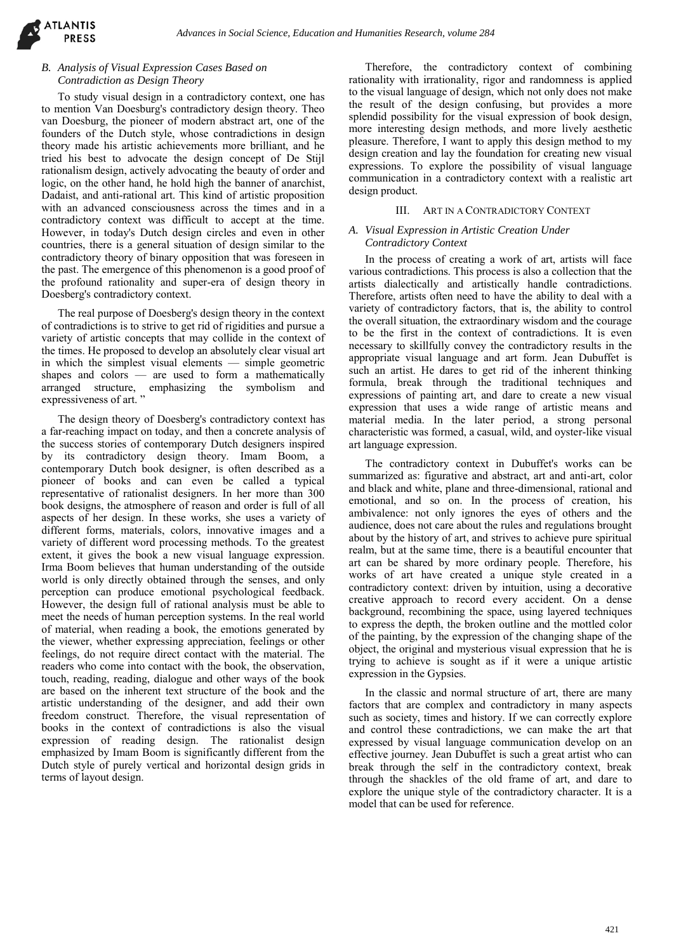# *B. Analysis of Visual Expression Cases Based on Contradiction as Design Theory*

To study visual design in a contradictory context, one has to mention Van Doesburg's contradictory design theory. Theo van Doesburg, the pioneer of modern abstract art, one of the founders of the Dutch style, whose contradictions in design theory made his artistic achievements more brilliant, and he tried his best to advocate the design concept of De Stijl rationalism design, actively advocating the beauty of order and logic, on the other hand, he hold high the banner of anarchist, Dadaist, and anti-rational art. This kind of artistic proposition with an advanced consciousness across the times and in a contradictory context was difficult to accept at the time. However, in today's Dutch design circles and even in other countries, there is a general situation of design similar to the contradictory theory of binary opposition that was foreseen in the past. The emergence of this phenomenon is a good proof of the profound rationality and super-era of design theory in Doesberg's contradictory context.

The real purpose of Doesberg's design theory in the context of contradictions is to strive to get rid of rigidities and pursue a variety of artistic concepts that may collide in the context of the times. He proposed to develop an absolutely clear visual art in which the simplest visual elements — simple geometric shapes and colors — are used to form a mathematically shapes and colors -- are used to form a materializer. expressiveness of art.'

The design theory of Doesberg's contradictory context has a far-reaching impact on today, and then a concrete analysis of the success stories of contemporary Dutch designers inspired by its contradictory design theory. Imam Boom, a contemporary Dutch book designer, is often described as a pioneer of books and can even be called a typical representative of rationalist designers. In her more than 300 book designs, the atmosphere of reason and order is full of all aspects of her design. In these works, she uses a variety of different forms, materials, colors, innovative images and a variety of different word processing methods. To the greatest extent, it gives the book a new visual language expression. Irma Boom believes that human understanding of the outside world is only directly obtained through the senses, and only perception can produce emotional psychological feedback. However, the design full of rational analysis must be able to meet the needs of human perception systems. In the real world of material, when reading a book, the emotions generated by the viewer, whether expressing appreciation, feelings or other feelings, do not require direct contact with the material. The readers who come into contact with the book, the observation, touch, reading, reading, dialogue and other ways of the book are based on the inherent text structure of the book and the artistic understanding of the designer, and add their own freedom construct. Therefore, the visual representation of books in the context of contradictions is also the visual expression of reading design. The rationalist design emphasized by Imam Boom is significantly different from the Dutch style of purely vertical and horizontal design grids in terms of layout design.

Therefore, the contradictory context of combining rationality with irrationality, rigor and randomness is applied to the visual language of design, which not only does not make the result of the design confusing, but provides a more splendid possibility for the visual expression of book design, more interesting design methods, and more lively aesthetic pleasure. Therefore, I want to apply this design method to my design creation and lay the foundation for creating new visual expressions. To explore the possibility of visual language communication in a contradictory context with a realistic art design product.

#### III. ART IN A CONTRADICTORY CONTEXT

### *A. Visual Expression in Artistic Creation Under Contradictory Context*

In the process of creating a work of art, artists will face various contradictions. This process is also a collection that the artists dialectically and artistically handle contradictions. Therefore, artists often need to have the ability to deal with a variety of contradictory factors, that is, the ability to control the overall situation, the extraordinary wisdom and the courage to be the first in the context of contradictions. It is even necessary to skillfully convey the contradictory results in the appropriate visual language and art form. Jean Dubuffet is such an artist. He dares to get rid of the inherent thinking formula, break through the traditional techniques and expressions of painting art, and dare to create a new visual expression that uses a wide range of artistic means and material media. In the later period, a strong personal characteristic was formed, a casual, wild, and oyster-like visual art language expression.

The contradictory context in Dubuffet's works can be summarized as: figurative and abstract, art and anti-art, color and black and white, plane and three-dimensional, rational and emotional, and so on. In the process of creation, his ambivalence: not only ignores the eyes of others and the audience, does not care about the rules and regulations brought about by the history of art, and strives to achieve pure spiritual realm, but at the same time, there is a beautiful encounter that art can be shared by more ordinary people. Therefore, his works of art have created a unique style created in a contradictory context: driven by intuition, using a decorative creative approach to record every accident. On a dense background, recombining the space, using layered techniques to express the depth, the broken outline and the mottled color of the painting, by the expression of the changing shape of the object, the original and mysterious visual expression that he is trying to achieve is sought as if it were a unique artistic expression in the Gypsies.

In the classic and normal structure of art, there are many factors that are complex and contradictory in many aspects such as society, times and history. If we can correctly explore and control these contradictions, we can make the art that expressed by visual language communication develop on an effective journey. Jean Dubuffet is such a great artist who can break through the self in the contradictory context, break through the shackles of the old frame of art, and dare to explore the unique style of the contradictory character. It is a model that can be used for reference.